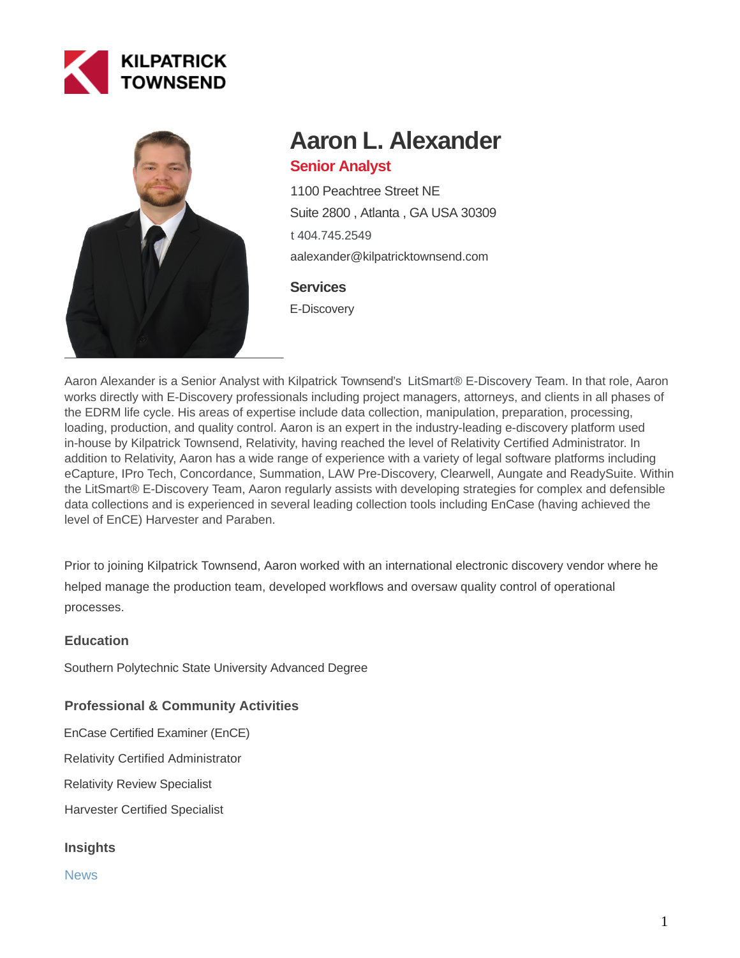



# **Aaron L. Alexander**

# **Senior Analyst**

1100 Peachtree Street NE Suite 2800 , Atlanta , GA USA 30309 [t 404.745.2549](tel:404.745.2549) aalexander@kilpatricktownsend.com

## **Services**

E-Discovery

Aaron Alexander is a Senior Analyst with Kilpatrick Townsend's [LitSmart® E-Discovery Team.](https://www.ktlitsmart.com/) In that role, Aaron works directly with E-Discovery professionals including project managers, attorneys, and clients in all phases of the EDRM life cycle. His areas of expertise include data collection, manipulation, preparation, processing, loading, production, and quality control. Aaron is an expert in the industry-leading e-discovery platform used in-house by Kilpatrick Townsend, Relativity, having reached the level of Relativity Certified Administrator. In addition to Relativity, Aaron has a wide range of experience with a variety of legal software platforms including eCapture, IPro Tech, Concordance, Summation, LAW Pre-Discovery, Clearwell, Aungate and ReadySuite. Within the LitSmart® E-Discovery Team, Aaron regularly assists with developing strategies for complex and defensible data collections and is experienced in several leading collection tools including EnCase (having achieved the level of EnCE) Harvester and Paraben.

Prior to joining Kilpatrick Townsend, Aaron worked with an international electronic discovery vendor where he helped manage the production team, developed workflows and oversaw quality control of operational processes.

#### **Education**

Southern Polytechnic State University Advanced Degree

# **Professional & Community Activities**

EnCase Certified Examiner (EnCE)

Relativity Certified Administrator

Relativity Review Specialist

Harvester Certified Specialist

#### **Insights**

News